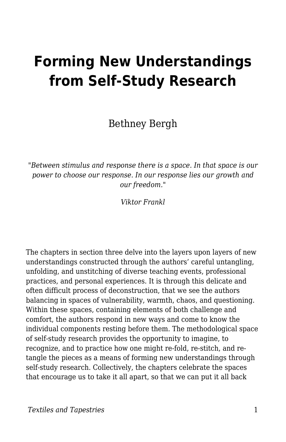## **Forming New Understandings from Self-Study Research**

Bethney Bergh

"*Between stimulus and response there is a space. In that space is our power to choose our response. In our response lies our growth and our freedom."*

*Viktor Frankl*

The chapters in section three delve into the layers upon layers of new understandings constructed through the authors' careful untangling, unfolding, and unstitching of diverse teaching events, professional practices, and personal experiences. It is through this delicate and often difficult process of deconstruction, that we see the authors balancing in spaces of vulnerability, warmth, chaos, and questioning. Within these spaces, containing elements of both challenge and comfort, the authors respond in new ways and come to know the individual components resting before them. The methodological space of self-study research provides the opportunity to imagine, to recognize, and to practice how one might re-fold, re-stitch, and retangle the pieces as a means of forming new understandings through self-study research. Collectively, the chapters celebrate the spaces that encourage us to take it all apart, so that we can put it all back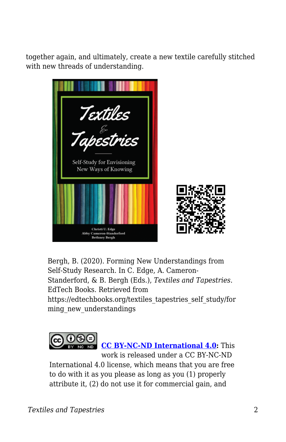together again, and ultimately, create a new textile carefully stitched with new threads of understanding.



Bergh, B. (2020). Forming New Understandings from Self-Study Research. In C. Edge, A. Cameron-Standerford, & B. Bergh (Eds.), *Textiles and Tapestries*. EdTech Books. Retrieved from https://edtechbooks.org/textiles\_tapestries\_self\_study/for

ming\_new\_understandings



**[CC BY-NC-ND International 4.0:](https://creativecommons.org/licenses/by-nc-nd/4.0/)** This

work is released under a CC BY-NC-ND International 4.0 license, which means that you are free to do with it as you please as long as you (1) properly attribute it, (2) do not use it for commercial gain, and